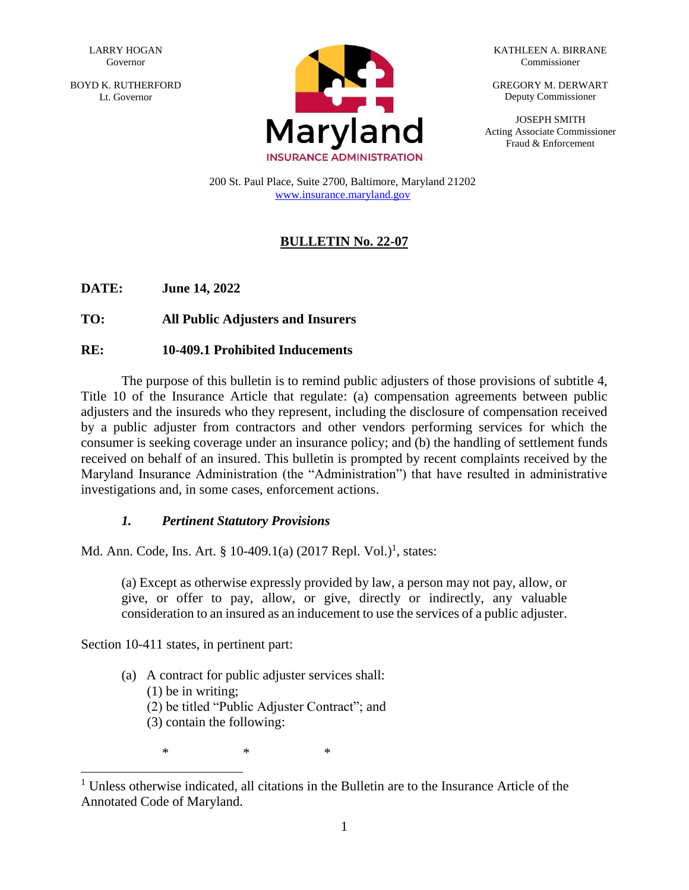BOYD K. RUTHERFORD Lt. Governor



KATHLEEN A. BIRRANE Commissioner

GREGORY M. DERWART Deputy Commissioner

JOSEPH SMITH Acting Associate Commissioner Fraud & Enforcement

200 St. Paul Place, Suite 2700, Baltimore, Maryland 21202 [www.insurance.maryland.gov](http://www.insurance.maryland.gov/)

# **BULLETIN No. 22-07**

**DATE: June 14, 2022**

**TO: All Public Adjusters and Insurers**

## **RE: 10-409.1 Prohibited Inducements**

The purpose of this bulletin is to remind public adjusters of those provisions of subtitle 4, Title 10 of the Insurance Article that regulate: (a) compensation agreements between public adjusters and the insureds who they represent, including the disclosure of compensation received by a public adjuster from contractors and other vendors performing services for which the consumer is seeking coverage under an insurance policy; and (b) the handling of settlement funds received on behalf of an insured. This bulletin is prompted by recent complaints received by the Maryland Insurance Administration (the "Administration") that have resulted in administrative investigations and, in some cases, enforcement actions.

## *1. Pertinent Statutory Provisions*

Md. Ann. Code, Ins. Art. § 10-409.1(a) (2017 Repl. Vol.)<sup>1</sup>, states:

(a) Except as otherwise expressly provided by law, a person may not pay, allow, or give, or offer to pay, allow, or give, directly or indirectly, any valuable consideration to an insured as an inducement to use the services of a public adjuster.

Section 10-411 states, in pertinent part:

- (a) A contract for public adjuster services shall:
	- (1) be in writing;

- (2) be titled "Public Adjuster Contract"; and
- (3) contain the following:

\* \* \*

 $1$  Unless otherwise indicated, all citations in the Bulletin are to the Insurance Article of the Annotated Code of Maryland.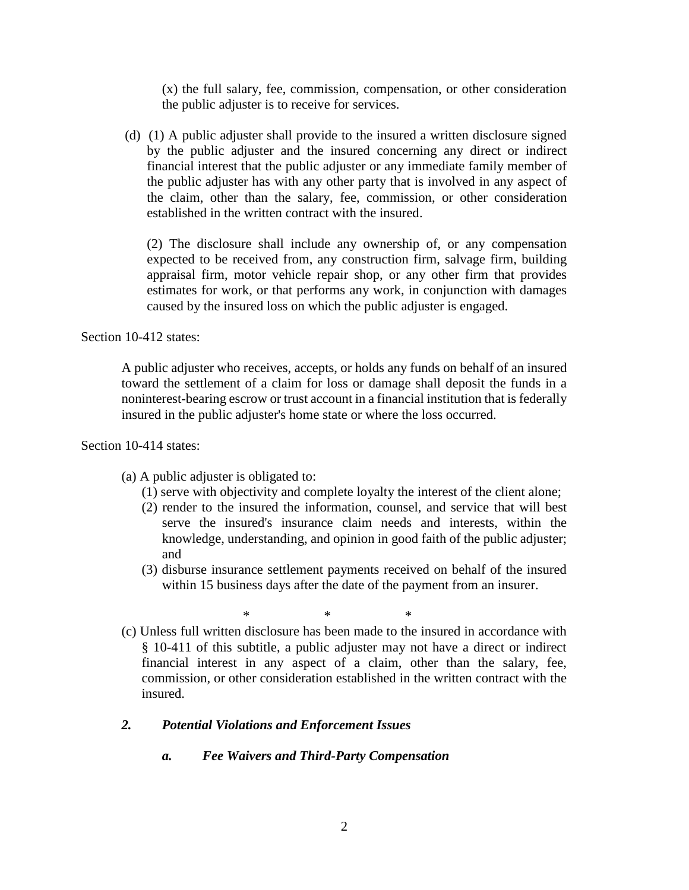(x) the full salary, fee, commission, compensation, or other consideration the public adjuster is to receive for services.

(d) (1) A public adjuster shall provide to the insured a written disclosure signed by the public adjuster and the insured concerning any direct or indirect financial interest that the public adjuster or any immediate family member of the public adjuster has with any other party that is involved in any aspect of the claim, other than the salary, fee, commission, or other consideration established in the written contract with the insured.

(2) The disclosure shall include any ownership of, or any compensation expected to be received from, any construction firm, salvage firm, building appraisal firm, motor vehicle repair shop, or any other firm that provides estimates for work, or that performs any work, in conjunction with damages caused by the insured loss on which the public adjuster is engaged.

Section 10-412 states:

A public adjuster who receives, accepts, or holds any funds on behalf of an insured toward the settlement of a claim for loss or damage shall deposit the funds in a noninterest-bearing escrow or trust account in a financial institution that is federally insured in the public adjuster's home state or where the loss occurred.

Section 10-414 states:

- (a) A public adjuster is obligated to:
	- (1) serve with objectivity and complete loyalty the interest of the client alone;
	- (2) render to the insured the information, counsel, and service that will best serve the insured's insurance claim needs and interests, within the knowledge, understanding, and opinion in good faith of the public adjuster; and
	- (3) disburse insurance settlement payments received on behalf of the insured within 15 business days after the date of the payment from an insurer.

\* \* \*

(c) Unless full written disclosure has been made to the insured in accordance with § 10-411 of this subtitle, a public adjuster may not have a direct or indirect financial interest in any aspect of a claim, other than the salary, fee, commission, or other consideration established in the written contract with the insured.

## *2. Potential Violations and Enforcement Issues*

*a. Fee Waivers and Third-Party Compensation*